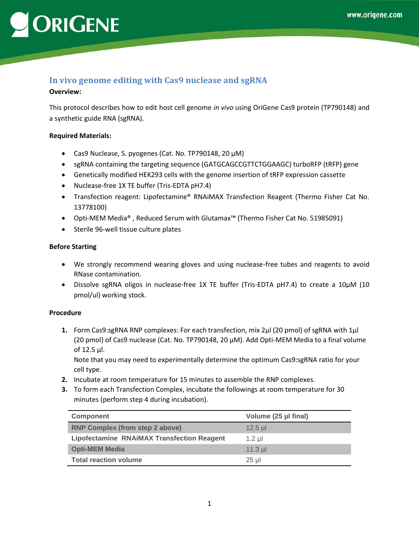## ORIGENE

### **In vivo genome editing with Cas9 nuclease and sgRNA**

#### **Overview:**

This protocol describes how to edit host cell genome *in vivo* using OriGene Cas9 protein (TP790148) and a synthetic guide RNA (sgRNA).

### **Required Materials:**

- Cas9 Nuclease, S. pyogenes (Cat. No. TP790148, 20 µM)
- sgRNA containing the targeting sequence (GATGCAGCCGTTCTGGAAGC) turboRFP (tRFP) gene
- Genetically modified HEK293 cells with the genome insertion of tRFP expression cassette
- Nuclease-free 1X TE buffer (Tris-EDTA pH7.4)
- Transfection reagent: Lipofectamine® RNAiMAX Transfection Reagent (Thermo Fisher Cat No. 13778100)
- Opti-MEM Media® , Reduced Serum with Glutamax™ (Thermo Fisher Cat No. 51985091)
- Sterile 96-well tissue culture plates

#### **Before Starting**

- We strongly recommend wearing gloves and using nuclease-free tubes and reagents to avoid RNase contamination.
- Dissolve sgRNA oligos in nuclease-free 1X TE buffer (Tris-EDTA pH7.4) to create a 10µM (10 pmol/ul) working stock.

#### **Procedure**

**1.** Form Cas9:sgRNA RNP complexes: For each transfection, mix 2µl (20 pmol) of sgRNA with 1µl (20 pmol) of Cas9 nuclease (Cat. No. TP790148, 20 µM). Add Opti-MEM Media to a final volume of 12.5 µl.

Note that you may need to experimentally determine the optimum Cas9:sgRNA ratio for your cell type.

- **2.** Incubate at room temperature for 15 minutes to assemble the RNP complexes.
- **3.** To form each Transfection Complex, incubate the followings at room temperature for 30 minutes (perform step 4 during incubation).

| <b>Component</b>                                  | Volume (25 µl final) |
|---------------------------------------------------|----------------------|
| <b>RNP Complex (from step 2 above)</b>            | $12.5$ µl            |
| <b>Lipofectamine RNAIMAX Transfection Reagent</b> | $1.2$ ul             |
| <b>Opti-MEM Media</b>                             | $11.3$ µl            |
| <b>Total reaction volume</b>                      | $25$ µ               |